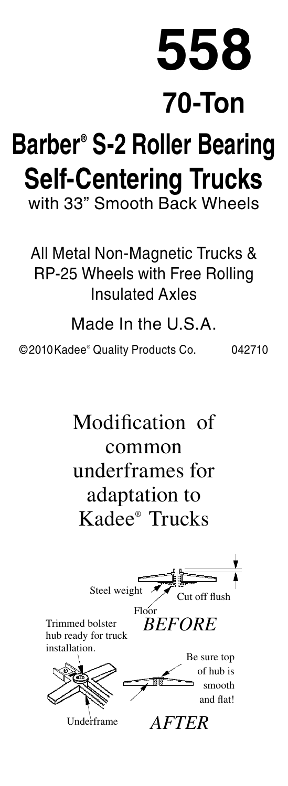**558**

**70-Ton**

## **Barber® S-2 Roller Bearing Self-Centering Trucks** with 33" Smooth Back Wheels

All Metal Non-Magnetic Trucks & RP-25 Wheels with Free Rolling Insulated Axles

Made In the U.S.A.

©2010Kadee® Quality Products Co. 042710

Modification of common underframes for adaptation to Kadee® Trucks